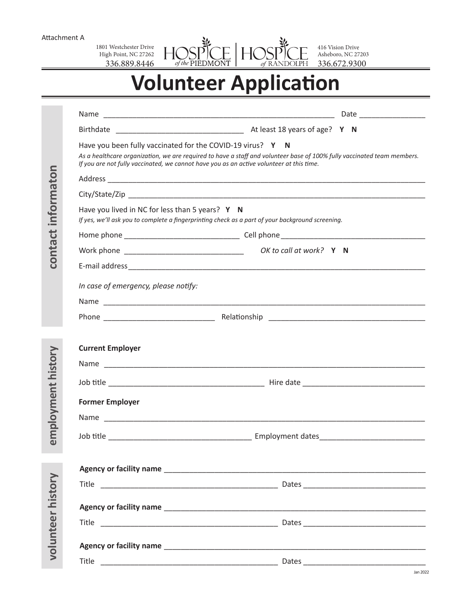Attachment A

1801 Westchester Drive High Point, NC 27262 336.889.8446 DE HOSPICE

416 Vision Drive Asheboro, NC 27203 336.672.9300

## **Volunteer Application**

 $\zeta$ 

 $\widetilde{of}$  the PIEDMONT

 $H$ 

|                    |                                                 | Have you been fully vaccinated for the COVID-19 virus? Y N<br>As a healthcare organization, we are required to have a staff and volunteer base of 100% fully vaccinated team members.<br>If you are not fully vaccinated, we cannot have you as an active volunteer at this time. |  |
|--------------------|-------------------------------------------------|-----------------------------------------------------------------------------------------------------------------------------------------------------------------------------------------------------------------------------------------------------------------------------------|--|
|                    |                                                 |                                                                                                                                                                                                                                                                                   |  |
|                    |                                                 |                                                                                                                                                                                                                                                                                   |  |
| informaton         | Have you lived in NC for less than 5 years? Y N | If yes, we'll ask you to complete a fingerprinting check as a part of your background screening.                                                                                                                                                                                  |  |
|                    |                                                 |                                                                                                                                                                                                                                                                                   |  |
| contact            |                                                 |                                                                                                                                                                                                                                                                                   |  |
|                    |                                                 |                                                                                                                                                                                                                                                                                   |  |
|                    | In case of emergency, please notify:            |                                                                                                                                                                                                                                                                                   |  |
|                    |                                                 |                                                                                                                                                                                                                                                                                   |  |
|                    |                                                 |                                                                                                                                                                                                                                                                                   |  |
|                    |                                                 |                                                                                                                                                                                                                                                                                   |  |
|                    | <b>Current Employer</b>                         |                                                                                                                                                                                                                                                                                   |  |
|                    |                                                 |                                                                                                                                                                                                                                                                                   |  |
| employment history |                                                 |                                                                                                                                                                                                                                                                                   |  |
|                    | <b>Former Employer</b>                          |                                                                                                                                                                                                                                                                                   |  |
|                    |                                                 |                                                                                                                                                                                                                                                                                   |  |
|                    |                                                 |                                                                                                                                                                                                                                                                                   |  |
|                    |                                                 |                                                                                                                                                                                                                                                                                   |  |
|                    |                                                 |                                                                                                                                                                                                                                                                                   |  |
|                    |                                                 |                                                                                                                                                                                                                                                                                   |  |
|                    |                                                 |                                                                                                                                                                                                                                                                                   |  |
|                    |                                                 |                                                                                                                                                                                                                                                                                   |  |
|                    |                                                 |                                                                                                                                                                                                                                                                                   |  |
| volunteer history  |                                                 |                                                                                                                                                                                                                                                                                   |  |
|                    |                                                 |                                                                                                                                                                                                                                                                                   |  |
|                    |                                                 |                                                                                                                                                                                                                                                                                   |  |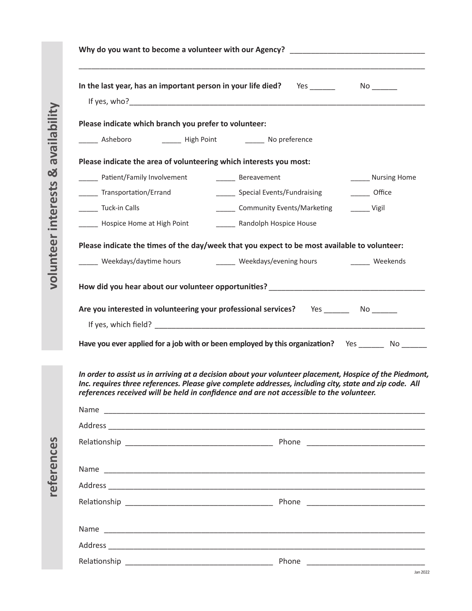| Please indicate which branch you prefer to volunteer:<br>______ Patient/Family Involvement<br>______ Transportation/Errand | _______ Asheboro ___________ High Point __________ No preference<br>Please indicate the area of volunteering which interests you most:                                                                                                                                                                                                                                                                                |                     |
|----------------------------------------------------------------------------------------------------------------------------|-----------------------------------------------------------------------------------------------------------------------------------------------------------------------------------------------------------------------------------------------------------------------------------------------------------------------------------------------------------------------------------------------------------------------|---------------------|
|                                                                                                                            |                                                                                                                                                                                                                                                                                                                                                                                                                       |                     |
|                                                                                                                            |                                                                                                                                                                                                                                                                                                                                                                                                                       |                     |
|                                                                                                                            |                                                                                                                                                                                                                                                                                                                                                                                                                       |                     |
|                                                                                                                            |                                                                                                                                                                                                                                                                                                                                                                                                                       |                     |
|                                                                                                                            | ______ Bereavement                                                                                                                                                                                                                                                                                                                                                                                                    | ______ Nursing Home |
|                                                                                                                            | ______ Special Events/Fundraising                                                                                                                                                                                                                                                                                                                                                                                     | ______ Office       |
| Tuck-in Calls                                                                                                              | ______ Community Events/Marketing                                                                                                                                                                                                                                                                                                                                                                                     | $\frac{1}{2}$ Vigil |
| ______ Hospice Home at High Point                                                                                          | ______ Randolph Hospice House                                                                                                                                                                                                                                                                                                                                                                                         |                     |
|                                                                                                                            | Please indicate the times of the day/week that you expect to be most available to volunteer:                                                                                                                                                                                                                                                                                                                          |                     |
| _____ Weekdays/daytime hours                                                                                               | ______ Weekdays/evening hours _______ Weekends                                                                                                                                                                                                                                                                                                                                                                        |                     |
|                                                                                                                            | Are you interested in volunteering your professional services? Yes No No                                                                                                                                                                                                                                                                                                                                              |                     |
|                                                                                                                            |                                                                                                                                                                                                                                                                                                                                                                                                                       |                     |
|                                                                                                                            | Have you ever applied for a job with or been employed by this organization? Yes ________ No _______<br>In order to assist us in arriving at a decision about your volunteer placement, Hospice of the Piedmont,<br>Inc. requires three references. Please give complete addresses, including city, state and zip code. All<br>references received will be held in confidence and are not accessible to the volunteer. |                     |
|                                                                                                                            | Name                                                                                                                                                                                                                                                                                                                                                                                                                  |                     |
|                                                                                                                            |                                                                                                                                                                                                                                                                                                                                                                                                                       |                     |
|                                                                                                                            |                                                                                                                                                                                                                                                                                                                                                                                                                       |                     |
|                                                                                                                            |                                                                                                                                                                                                                                                                                                                                                                                                                       |                     |
|                                                                                                                            |                                                                                                                                                                                                                                                                                                                                                                                                                       |                     |

Name \_\_\_\_\_\_\_\_\_\_\_\_\_\_\_\_\_\_\_\_\_\_\_\_\_\_\_\_\_\_\_\_\_\_\_\_\_\_\_\_\_\_\_\_\_\_\_\_\_\_\_\_\_\_\_\_\_\_\_\_\_\_\_\_\_\_\_\_\_\_\_\_\_\_\_\_

Address \_\_\_\_\_\_\_\_\_\_\_\_\_\_\_\_\_\_\_\_\_\_\_\_\_\_\_\_\_\_\_\_\_\_\_\_\_\_\_\_\_\_\_\_\_\_\_\_\_\_\_\_\_\_\_\_\_\_\_\_\_\_\_\_\_\_\_\_\_\_\_\_\_\_\_

Relationship \_\_\_\_\_\_\_\_\_\_\_\_\_\_\_\_\_\_\_\_\_\_\_\_\_\_\_\_\_\_\_\_\_\_\_ Phone \_\_\_\_\_\_\_\_\_\_\_\_\_\_\_\_\_\_\_\_\_\_\_\_\_\_\_\_

references **references**

**volunteer interests & availability**

volunteer interests & availability